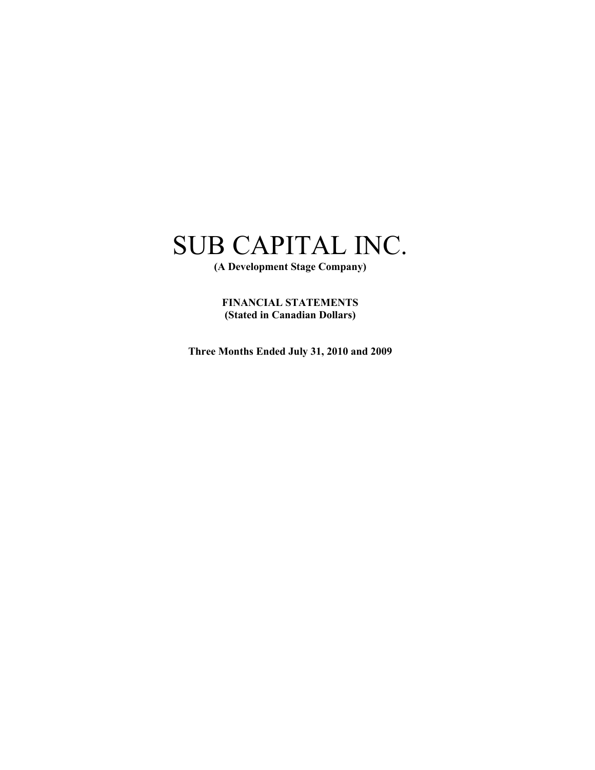**(A Development Stage Company)** 

**FINANCIAL STATEMENTS (Stated in Canadian Dollars)** 

**Three Months Ended July 31, 2010 and 2009**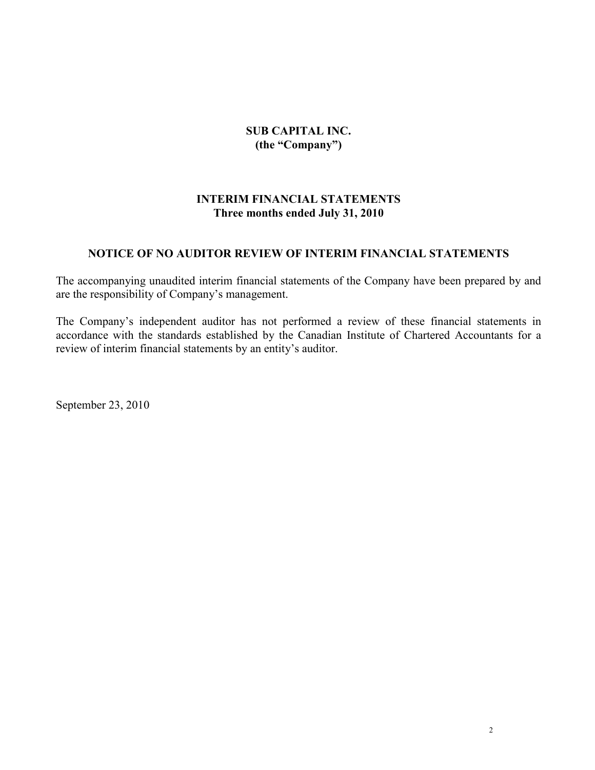### **SUB CAPITAL INC. (the "Company")**

### **INTERIM FINANCIAL STATEMENTS Three months ended July 31, 2010**

### **NOTICE OF NO AUDITOR REVIEW OF INTERIM FINANCIAL STATEMENTS**

The accompanying unaudited interim financial statements of the Company have been prepared by and are the responsibility of Company's management.

The Company's independent auditor has not performed a review of these financial statements in accordance with the standards established by the Canadian Institute of Chartered Accountants for a review of interim financial statements by an entity's auditor.

September 23, 2010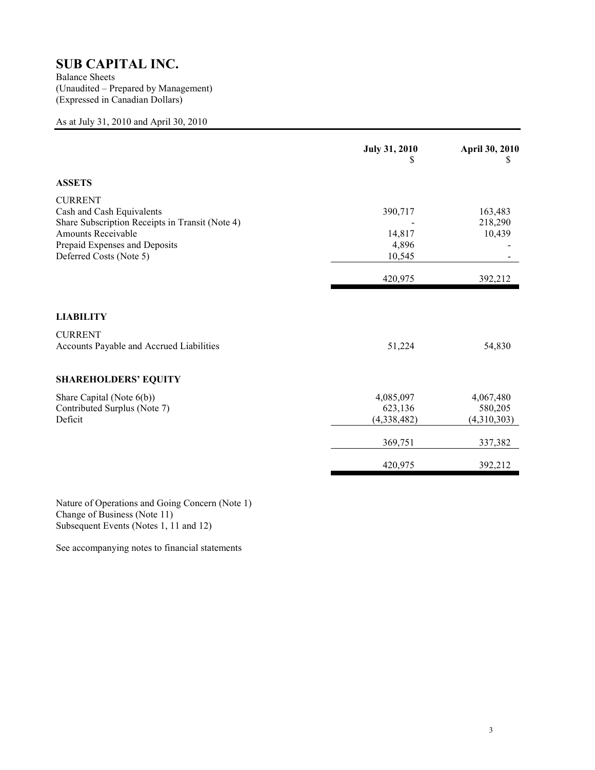Balance Sheets (Unaudited – Prepared by Management) (Expressed in Canadian Dollars)

### As at July 31, 2010 and April 30, 2010

|                                                                                                | <b>July 31, 2010</b><br>S | April 30, 2010<br>\$ |
|------------------------------------------------------------------------------------------------|---------------------------|----------------------|
| <b>ASSETS</b>                                                                                  |                           |                      |
| <b>CURRENT</b><br>Cash and Cash Equivalents<br>Share Subscription Receipts in Transit (Note 4) | 390,717                   | 163,483<br>218,290   |
| <b>Amounts Receivable</b>                                                                      | 14,817                    | 10,439               |
| Prepaid Expenses and Deposits                                                                  | 4,896                     |                      |
| Deferred Costs (Note 5)                                                                        | 10,545                    |                      |
|                                                                                                | 420,975                   | 392,212              |
| <b>LIABILITY</b>                                                                               |                           |                      |
| <b>CURRENT</b><br>Accounts Payable and Accrued Liabilities                                     | 51,224                    | 54,830               |
| <b>SHAREHOLDERS' EQUITY</b>                                                                    |                           |                      |
| Share Capital (Note $6(b)$ )                                                                   | 4,085,097                 | 4,067,480            |
| Contributed Surplus (Note 7)                                                                   | 623,136                   | 580,205              |
| Deficit                                                                                        | (4,338,482)               | (4,310,303)          |
|                                                                                                | 369,751                   | 337,382              |
|                                                                                                | 420,975                   | 392,212              |

Nature of Operations and Going Concern (Note 1) Change of Business (Note 11) Subsequent Events (Notes 1, 11 and 12)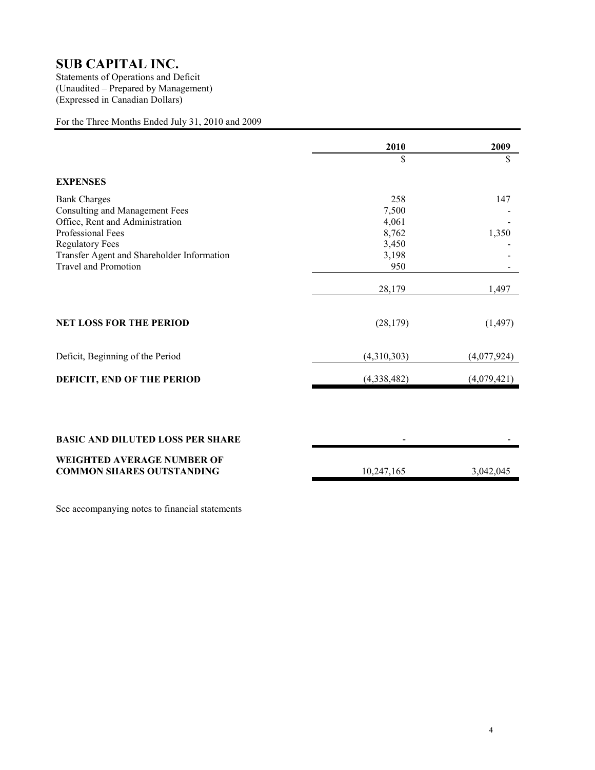Statements of Operations and Deficit (Unaudited – Prepared by Management) (Expressed in Canadian Dollars)

### For the Three Months Ended July 31, 2010 and 2009

|                                                                              | 2010        | 2009        |
|------------------------------------------------------------------------------|-------------|-------------|
|                                                                              | \$          | \$          |
| <b>EXPENSES</b>                                                              |             |             |
| <b>Bank Charges</b>                                                          | 258         | 147         |
| <b>Consulting and Management Fees</b>                                        | 7,500       |             |
| Office, Rent and Administration                                              | 4,061       |             |
| Professional Fees                                                            | 8,762       | 1,350       |
| <b>Regulatory Fees</b>                                                       | 3,450       |             |
| Transfer Agent and Shareholder Information                                   | 3,198       |             |
| <b>Travel and Promotion</b>                                                  | 950         |             |
|                                                                              | 28,179      | 1,497       |
| <b>NET LOSS FOR THE PERIOD</b>                                               | (28, 179)   | (1, 497)    |
| Deficit, Beginning of the Period                                             | (4,310,303) | (4,077,924) |
| DEFICIT, END OF THE PERIOD                                                   | (4,338,482) | (4,079,421) |
| <b>BASIC AND DILUTED LOSS PER SHARE</b><br><b>WEIGHTED AVERAGE NUMBER OF</b> |             |             |
| <b>COMMON SHARES OUTSTANDING</b>                                             | 10,247,165  | 3,042,045   |
|                                                                              |             |             |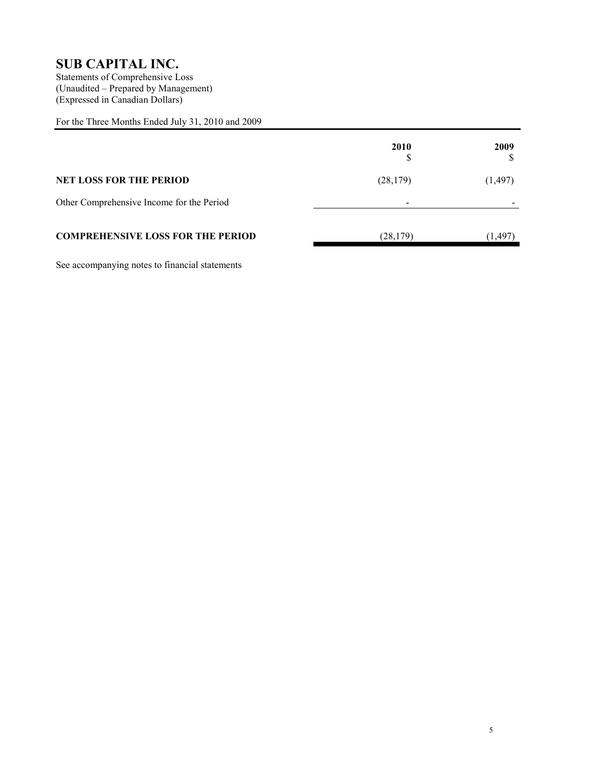Statements of Comprehensive Loss (Unaudited – Prepared by Management) (Expressed in Canadian Dollars)

For the Three Months Ended July 31, 2010 and 2009

|                                           | 2010                     | 2009     |
|-------------------------------------------|--------------------------|----------|
| <b>NET LOSS FOR THE PERIOD</b>            | (28, 179)                | (1, 497) |
| Other Comprehensive Income for the Period | $\overline{\phantom{0}}$ |          |
| <b>COMPREHENSIVE LOSS FOR THE PERIOD</b>  | (28, 179)                | (1, 497) |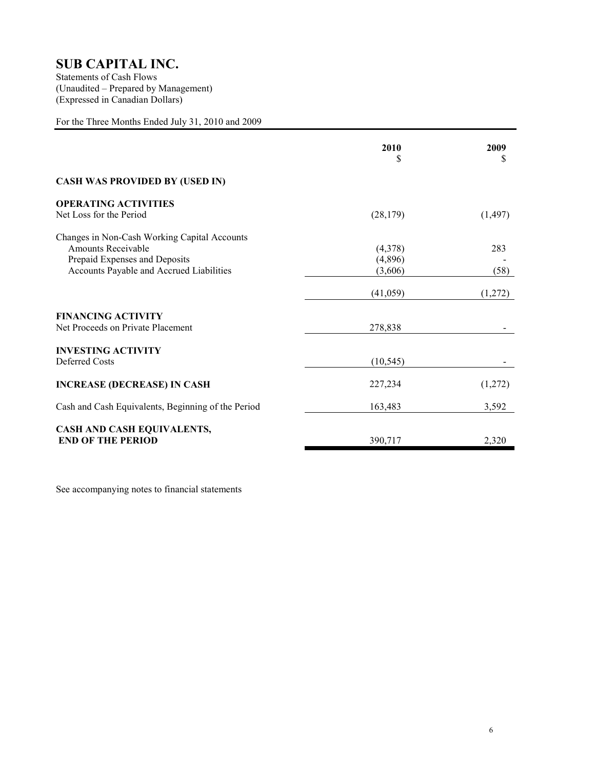Statements of Cash Flows (Unaudited – Prepared by Management) (Expressed in Canadian Dollars)

### For the Three Months Ended July 31, 2010 and 2009

|                                                                                                                                                        | 2010<br>S                     | 2009<br>S   |
|--------------------------------------------------------------------------------------------------------------------------------------------------------|-------------------------------|-------------|
| <b>CASH WAS PROVIDED BY (USED IN)</b>                                                                                                                  |                               |             |
| <b>OPERATING ACTIVITIES</b><br>Net Loss for the Period                                                                                                 | (28, 179)                     | (1, 497)    |
| Changes in Non-Cash Working Capital Accounts<br><b>Amounts Receivable</b><br>Prepaid Expenses and Deposits<br>Accounts Payable and Accrued Liabilities | (4,378)<br>(4,896)<br>(3,606) | 283<br>(58) |
|                                                                                                                                                        | (41,059)                      | (1,272)     |
| <b>FINANCING ACTIVITY</b><br>Net Proceeds on Private Placement                                                                                         | 278,838                       |             |
| <b>INVESTING ACTIVITY</b><br>Deferred Costs                                                                                                            | (10, 545)                     |             |
| <b>INCREASE (DECREASE) IN CASH</b>                                                                                                                     | 227,234                       | (1,272)     |
| Cash and Cash Equivalents, Beginning of the Period                                                                                                     | 163,483                       | 3,592       |
| CASH AND CASH EQUIVALENTS,<br><b>END OF THE PERIOD</b>                                                                                                 | 390,717                       | 2,320       |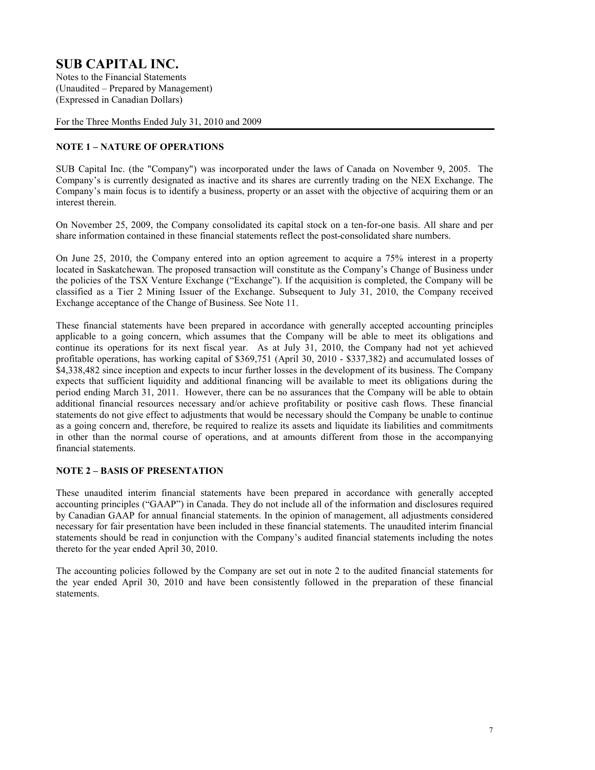Notes to the Financial Statements (Unaudited – Prepared by Management) (Expressed in Canadian Dollars)

For the Three Months Ended July 31, 2010 and 2009

### **NOTE 1 – NATURE OF OPERATIONS**

SUB Capital Inc. (the "Company") was incorporated under the laws of Canada on November 9, 2005. The Company's is currently designated as inactive and its shares are currently trading on the NEX Exchange. The Company's main focus is to identify a business, property or an asset with the objective of acquiring them or an interest therein.

On November 25, 2009, the Company consolidated its capital stock on a ten-for-one basis. All share and per share information contained in these financial statements reflect the post-consolidated share numbers.

On June 25, 2010, the Company entered into an option agreement to acquire a 75% interest in a property located in Saskatchewan. The proposed transaction will constitute as the Company's Change of Business under the policies of the TSX Venture Exchange ("Exchange"). If the acquisition is completed, the Company will be classified as a Tier 2 Mining Issuer of the Exchange. Subsequent to July 31, 2010, the Company received Exchange acceptance of the Change of Business. See Note 11.

These financial statements have been prepared in accordance with generally accepted accounting principles applicable to a going concern, which assumes that the Company will be able to meet its obligations and continue its operations for its next fiscal year. As at July 31, 2010, the Company had not yet achieved profitable operations, has working capital of \$369,751 (April 30, 2010 - \$337,382) and accumulated losses of \$4,338,482 since inception and expects to incur further losses in the development of its business. The Company expects that sufficient liquidity and additional financing will be available to meet its obligations during the period ending March 31, 2011. However, there can be no assurances that the Company will be able to obtain additional financial resources necessary and/or achieve profitability or positive cash flows. These financial statements do not give effect to adjustments that would be necessary should the Company be unable to continue as a going concern and, therefore, be required to realize its assets and liquidate its liabilities and commitments in other than the normal course of operations, and at amounts different from those in the accompanying financial statements.

### **NOTE 2 – BASIS OF PRESENTATION**

These unaudited interim financial statements have been prepared in accordance with generally accepted accounting principles ("GAAP") in Canada. They do not include all of the information and disclosures required by Canadian GAAP for annual financial statements. In the opinion of management, all adjustments considered necessary for fair presentation have been included in these financial statements. The unaudited interim financial statements should be read in conjunction with the Company's audited financial statements including the notes thereto for the year ended April 30, 2010.

The accounting policies followed by the Company are set out in note 2 to the audited financial statements for the year ended April 30, 2010 and have been consistently followed in the preparation of these financial statements.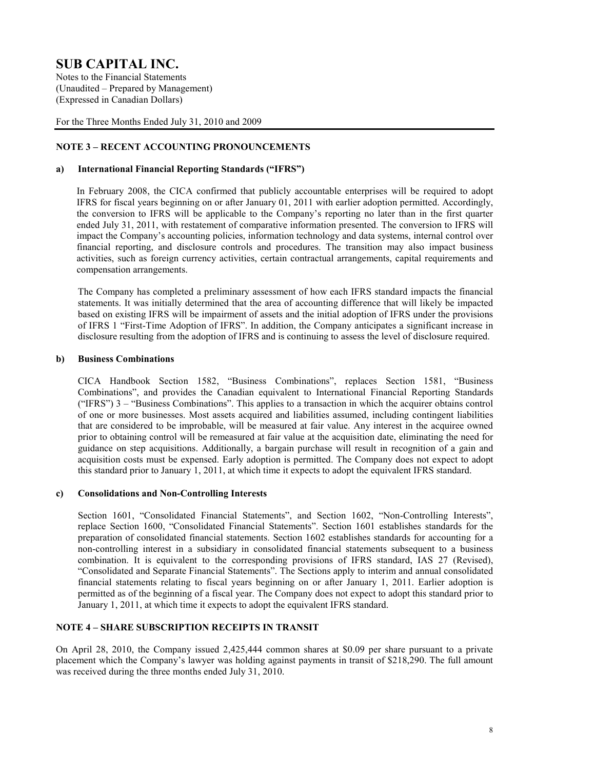Notes to the Financial Statements (Unaudited – Prepared by Management) (Expressed in Canadian Dollars)

For the Three Months Ended July 31, 2010 and 2009

### **NOTE 3 – RECENT ACCOUNTING PRONOUNCEMENTS**

#### **a) International Financial Reporting Standards ("IFRS")**

In February 2008, the CICA confirmed that publicly accountable enterprises will be required to adopt IFRS for fiscal years beginning on or after January 01, 2011 with earlier adoption permitted. Accordingly, the conversion to IFRS will be applicable to the Company's reporting no later than in the first quarter ended July 31, 2011, with restatement of comparative information presented. The conversion to IFRS will impact the Company's accounting policies, information technology and data systems, internal control over financial reporting, and disclosure controls and procedures. The transition may also impact business activities, such as foreign currency activities, certain contractual arrangements, capital requirements and compensation arrangements.

The Company has completed a preliminary assessment of how each IFRS standard impacts the financial statements. It was initially determined that the area of accounting difference that will likely be impacted based on existing IFRS will be impairment of assets and the initial adoption of IFRS under the provisions of IFRS 1 "First-Time Adoption of IFRS". In addition, the Company anticipates a significant increase in disclosure resulting from the adoption of IFRS and is continuing to assess the level of disclosure required.

#### **b) Business Combinations**

CICA Handbook Section 1582, "Business Combinations", replaces Section 1581, "Business Combinations", and provides the Canadian equivalent to International Financial Reporting Standards ("IFRS") 3 – "Business Combinations". This applies to a transaction in which the acquirer obtains control of one or more businesses. Most assets acquired and liabilities assumed, including contingent liabilities that are considered to be improbable, will be measured at fair value. Any interest in the acquiree owned prior to obtaining control will be remeasured at fair value at the acquisition date, eliminating the need for guidance on step acquisitions. Additionally, a bargain purchase will result in recognition of a gain and acquisition costs must be expensed. Early adoption is permitted. The Company does not expect to adopt this standard prior to January 1, 2011, at which time it expects to adopt the equivalent IFRS standard.

#### **c) Consolidations and Non-Controlling Interests**

 Section 1601, "Consolidated Financial Statements", and Section 1602, "Non-Controlling Interests", replace Section 1600, "Consolidated Financial Statements". Section 1601 establishes standards for the preparation of consolidated financial statements. Section 1602 establishes standards for accounting for a non-controlling interest in a subsidiary in consolidated financial statements subsequent to a business combination. It is equivalent to the corresponding provisions of IFRS standard, IAS 27 (Revised), "Consolidated and Separate Financial Statements". The Sections apply to interim and annual consolidated financial statements relating to fiscal years beginning on or after January 1, 2011. Earlier adoption is permitted as of the beginning of a fiscal year. The Company does not expect to adopt this standard prior to January 1, 2011, at which time it expects to adopt the equivalent IFRS standard.

### **NOTE 4 – SHARE SUBSCRIPTION RECEIPTS IN TRANSIT**

On April 28, 2010, the Company issued 2,425,444 common shares at \$0.09 per share pursuant to a private placement which the Company's lawyer was holding against payments in transit of \$218,290. The full amount was received during the three months ended July 31, 2010.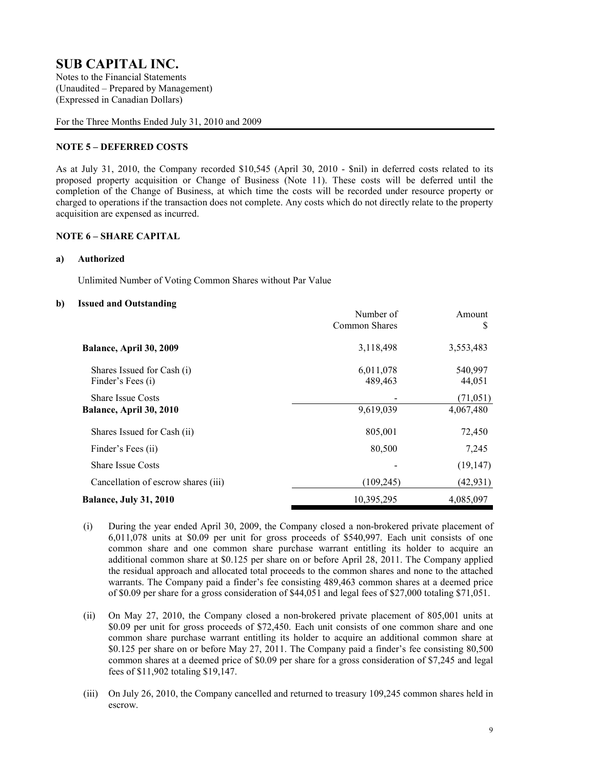Notes to the Financial Statements (Unaudited – Prepared by Management) (Expressed in Canadian Dollars)

For the Three Months Ended July 31, 2010 and 2009

### **NOTE 5 – DEFERRED COSTS**

As at July 31, 2010, the Company recorded \$10,545 (April 30, 2010 - \$nil) in deferred costs related to its proposed property acquisition or Change of Business (Note 11). These costs will be deferred until the completion of the Change of Business, at which time the costs will be recorded under resource property or charged to operations if the transaction does not complete. Any costs which do not directly relate to the property acquisition are expensed as incurred.

#### **NOTE 6 – SHARE CAPITAL**

#### **a) Authorized**

Unlimited Number of Voting Common Shares without Par Value

#### **b) Issued and Outstanding**

|                                                     | Number of<br>Common Shares | Amount<br>S            |
|-----------------------------------------------------|----------------------------|------------------------|
| Balance, April 30, 2009                             | 3,118,498                  | 3,553,483              |
| Shares Issued for Cash (i)<br>Finder's Fees (i)     | 6,011,078<br>489,463       | 540,997<br>44,051      |
| <b>Share Issue Costs</b><br>Balance, April 30, 2010 | 9,619,039                  | (71, 051)<br>4,067,480 |
| Shares Issued for Cash (ii)                         | 805,001                    | 72,450                 |
| Finder's Fees (ii)                                  | 80,500                     | 7,245                  |
| <b>Share Issue Costs</b>                            |                            | (19, 147)              |
| Cancellation of escrow shares (iii)                 | (109, 245)                 | (42, 931)              |
| <b>Balance, July 31, 2010</b>                       | 10,395,295                 | 4,085,097              |

- (i) During the year ended April 30, 2009, the Company closed a non-brokered private placement of 6,011,078 units at \$0.09 per unit for gross proceeds of \$540,997. Each unit consists of one common share and one common share purchase warrant entitling its holder to acquire an additional common share at \$0.125 per share on or before April 28, 2011. The Company applied the residual approach and allocated total proceeds to the common shares and none to the attached warrants. The Company paid a finder's fee consisting 489,463 common shares at a deemed price of \$0.09 per share for a gross consideration of \$44,051 and legal fees of \$27,000 totaling \$71,051.
- (ii) On May 27, 2010, the Company closed a non-brokered private placement of 805,001 units at \$0.09 per unit for gross proceeds of \$72,450. Each unit consists of one common share and one common share purchase warrant entitling its holder to acquire an additional common share at \$0.125 per share on or before May 27, 2011. The Company paid a finder's fee consisting 80,500 common shares at a deemed price of \$0.09 per share for a gross consideration of \$7,245 and legal fees of \$11,902 totaling \$19,147.
- (iii) On July 26, 2010, the Company cancelled and returned to treasury 109,245 common shares held in escrow.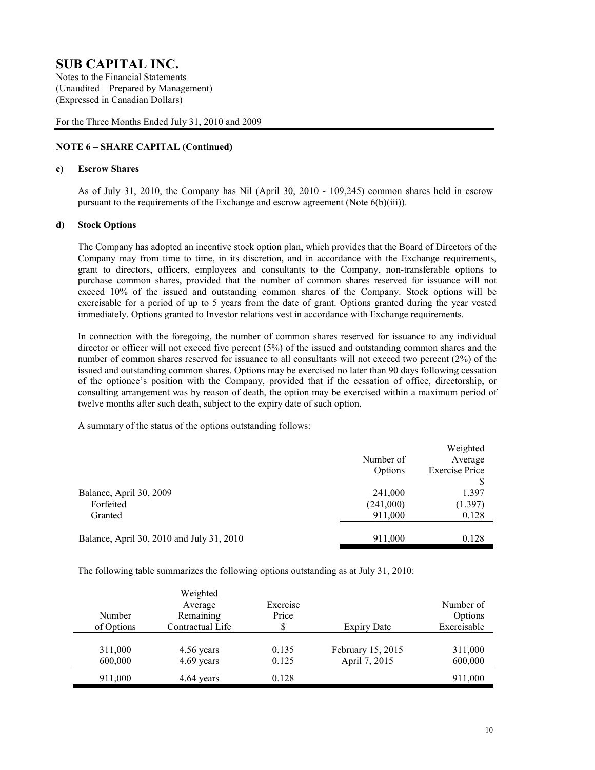Notes to the Financial Statements (Unaudited – Prepared by Management) (Expressed in Canadian Dollars)

For the Three Months Ended July 31, 2010 and 2009

### **NOTE 6 – SHARE CAPITAL (Continued)**

#### **c) Escrow Shares**

As of July 31, 2010, the Company has Nil (April 30, 2010 - 109,245) common shares held in escrow pursuant to the requirements of the Exchange and escrow agreement (Note 6(b)(iii)).

#### **d) Stock Options**

The Company has adopted an incentive stock option plan, which provides that the Board of Directors of the Company may from time to time, in its discretion, and in accordance with the Exchange requirements, grant to directors, officers, employees and consultants to the Company, non-transferable options to purchase common shares, provided that the number of common shares reserved for issuance will not exceed 10% of the issued and outstanding common shares of the Company. Stock options will be exercisable for a period of up to 5 years from the date of grant. Options granted during the year vested immediately. Options granted to Investor relations vest in accordance with Exchange requirements.

In connection with the foregoing, the number of common shares reserved for issuance to any individual director or officer will not exceed five percent (5%) of the issued and outstanding common shares and the number of common shares reserved for issuance to all consultants will not exceed two percent (2%) of the issued and outstanding common shares. Options may be exercised no later than 90 days following cessation of the optionee's position with the Company, provided that if the cessation of office, directorship, or consulting arrangement was by reason of death, the option may be exercised within a maximum period of twelve months after such death, subject to the expiry date of such option.

A summary of the status of the options outstanding follows:

|           | Weighted              |
|-----------|-----------------------|
| Number of | Average               |
| Options   | <b>Exercise Price</b> |
|           |                       |
| 241,000   | 1.397                 |
| (241,000) | (1.397)               |
| 911,000   | 0.128                 |
| 911,000   | 0.128                 |
|           |                       |

The following table summarizes the following options outstanding as at July 31, 2010:

| Number<br>of Options | Weighted<br>Average<br>Remaining<br>Contractual Life | Exercise<br>Price<br>S | <b>Expiry Date</b>                 | Number of<br>Options<br>Exercisable |
|----------------------|------------------------------------------------------|------------------------|------------------------------------|-------------------------------------|
| 311,000<br>600,000   | 4.56 years<br>4.69 years                             | 0.135<br>0.125         | February 15, 2015<br>April 7, 2015 | 311,000<br>600,000                  |
| 911,000              | 4.64 years                                           | 0.128                  |                                    | 911,000                             |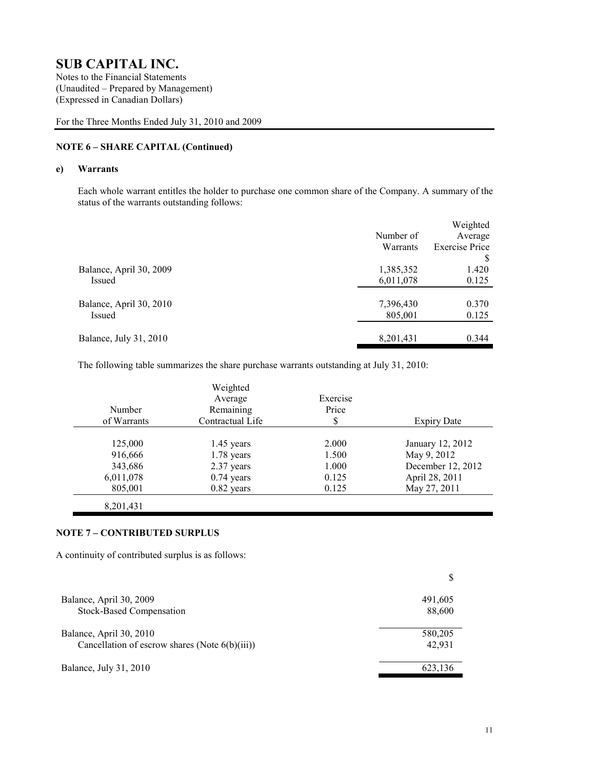Notes to the Financial Statements (Unaudited – Prepared by Management) (Expressed in Canadian Dollars)

For the Three Months Ended July 31, 2010 and 2009

### **NOTE 6 – SHARE CAPITAL (Continued)**

#### **e) Warrants**

Each whole warrant entitles the holder to purchase one common share of the Company. A summary of the status of the warrants outstanding follows:

|           | Weighted              |
|-----------|-----------------------|
| Number of | Average               |
| Warrants  | <b>Exercise Price</b> |
|           | S                     |
| 1,385,352 | 1.420                 |
| 6,011,078 | 0.125                 |
|           |                       |
| 7,396,430 | 0.370                 |
| 805,001   | 0.125                 |
|           |                       |
| 8,201,431 | 0.344                 |
|           |                       |

The following table summarizes the share purchase warrants outstanding at July 31, 2010:

| Number<br>of Warrants | Weighted<br>Average<br>Remaining<br>Contractual Life | Exercise<br>Price<br>S | <b>Expiry Date</b> |
|-----------------------|------------------------------------------------------|------------------------|--------------------|
|                       |                                                      |                        |                    |
| 125,000               | $1.45$ years                                         | 2.000                  | January 12, 2012   |
| 916,666               | $1.78$ years                                         | 1.500                  | May 9, 2012        |
| 343,686               | 2.37 years                                           | 1.000                  | December 12, 2012  |
| 6,011,078             | $0.74$ years                                         | 0.125                  | April 28, 2011     |
| 805,001               | $0.82$ years                                         | 0.125                  | May 27, 2011       |
| 8,201,431             |                                                      |                        |                    |

#### **NOTE 7 – CONTRIBUTED SURPLUS**

A continuity of contributed surplus is as follows:

| Balance, April 30, 2009                           | 491,605 |
|---------------------------------------------------|---------|
| <b>Stock-Based Compensation</b>                   | 88,600  |
| Balance, April 30, 2010                           | 580,205 |
| Cancellation of escrow shares (Note $6(b)(iii)$ ) | 42,931  |
| Balance, July 31, 2010                            | 623,136 |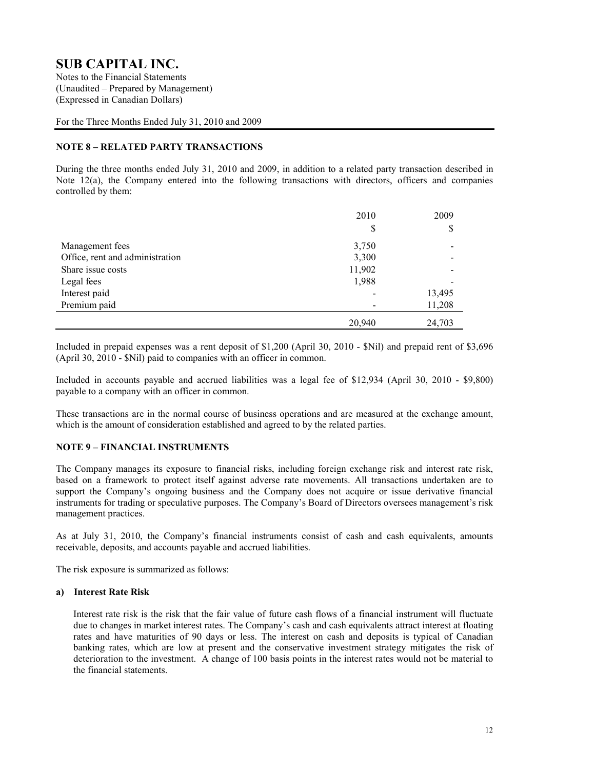Notes to the Financial Statements (Unaudited – Prepared by Management) (Expressed in Canadian Dollars)

For the Three Months Ended July 31, 2010 and 2009

### **NOTE 8 – RELATED PARTY TRANSACTIONS**

During the three months ended July 31, 2010 and 2009, in addition to a related party transaction described in Note 12(a), the Company entered into the following transactions with directors, officers and companies controlled by them:

|                                 | 2010   | 2009   |
|---------------------------------|--------|--------|
|                                 | \$     | \$     |
| Management fees                 | 3,750  |        |
| Office, rent and administration | 3,300  |        |
| Share issue costs               | 11,902 |        |
| Legal fees                      | 1,988  |        |
| Interest paid                   |        | 13,495 |
| Premium paid                    |        | 11,208 |
|                                 | 20,940 | 24,703 |

Included in prepaid expenses was a rent deposit of \$1,200 (April 30, 2010 - \$Nil) and prepaid rent of \$3,696 (April 30, 2010 - \$Nil) paid to companies with an officer in common.

Included in accounts payable and accrued liabilities was a legal fee of \$12,934 (April 30, 2010 - \$9,800) payable to a company with an officer in common.

These transactions are in the normal course of business operations and are measured at the exchange amount, which is the amount of consideration established and agreed to by the related parties.

#### **NOTE 9 – FINANCIAL INSTRUMENTS**

The Company manages its exposure to financial risks, including foreign exchange risk and interest rate risk, based on a framework to protect itself against adverse rate movements. All transactions undertaken are to support the Company's ongoing business and the Company does not acquire or issue derivative financial instruments for trading or speculative purposes. The Company's Board of Directors oversees management's risk management practices.

As at July 31, 2010, the Company's financial instruments consist of cash and cash equivalents, amounts receivable, deposits, and accounts payable and accrued liabilities.

The risk exposure is summarized as follows:

#### **a) Interest Rate Risk**

Interest rate risk is the risk that the fair value of future cash flows of a financial instrument will fluctuate due to changes in market interest rates. The Company's cash and cash equivalents attract interest at floating rates and have maturities of 90 days or less. The interest on cash and deposits is typical of Canadian banking rates, which are low at present and the conservative investment strategy mitigates the risk of deterioration to the investment. A change of 100 basis points in the interest rates would not be material to the financial statements.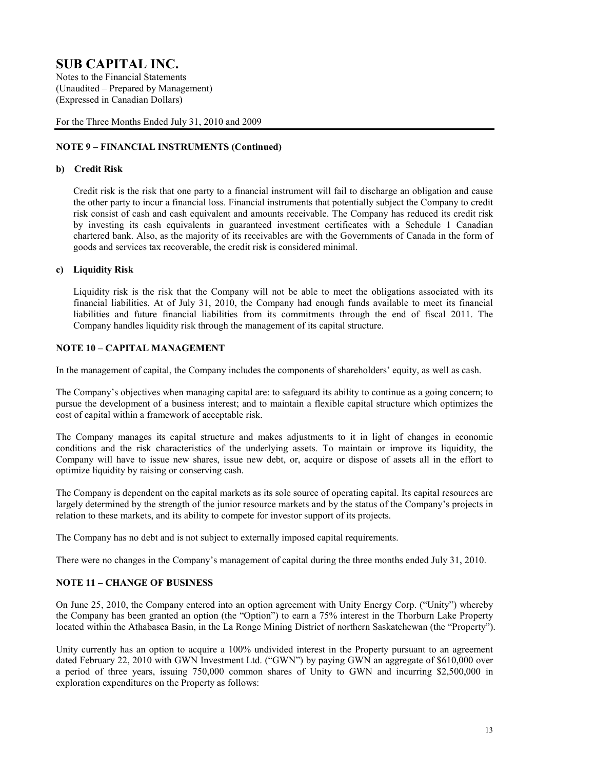Notes to the Financial Statements (Unaudited – Prepared by Management) (Expressed in Canadian Dollars)

For the Three Months Ended July 31, 2010 and 2009

### **NOTE 9 – FINANCIAL INSTRUMENTS (Continued)**

#### **b) Credit Risk**

Credit risk is the risk that one party to a financial instrument will fail to discharge an obligation and cause the other party to incur a financial loss. Financial instruments that potentially subject the Company to credit risk consist of cash and cash equivalent and amounts receivable. The Company has reduced its credit risk by investing its cash equivalents in guaranteed investment certificates with a Schedule 1 Canadian chartered bank. Also, as the majority of its receivables are with the Governments of Canada in the form of goods and services tax recoverable, the credit risk is considered minimal.

#### **c) Liquidity Risk**

Liquidity risk is the risk that the Company will not be able to meet the obligations associated with its financial liabilities. At of July 31, 2010, the Company had enough funds available to meet its financial liabilities and future financial liabilities from its commitments through the end of fiscal 2011. The Company handles liquidity risk through the management of its capital structure.

### **NOTE 10 – CAPITAL MANAGEMENT**

In the management of capital, the Company includes the components of shareholders' equity, as well as cash.

The Company's objectives when managing capital are: to safeguard its ability to continue as a going concern; to pursue the development of a business interest; and to maintain a flexible capital structure which optimizes the cost of capital within a framework of acceptable risk.

The Company manages its capital structure and makes adjustments to it in light of changes in economic conditions and the risk characteristics of the underlying assets. To maintain or improve its liquidity, the Company will have to issue new shares, issue new debt, or, acquire or dispose of assets all in the effort to optimize liquidity by raising or conserving cash.

The Company is dependent on the capital markets as its sole source of operating capital. Its capital resources are largely determined by the strength of the junior resource markets and by the status of the Company's projects in relation to these markets, and its ability to compete for investor support of its projects.

The Company has no debt and is not subject to externally imposed capital requirements.

There were no changes in the Company's management of capital during the three months ended July 31, 2010.

#### **NOTE 11 – CHANGE OF BUSINESS**

On June 25, 2010, the Company entered into an option agreement with Unity Energy Corp. ("Unity") whereby the Company has been granted an option (the "Option") to earn a 75% interest in the Thorburn Lake Property located within the Athabasca Basin, in the La Ronge Mining District of northern Saskatchewan (the "Property").

Unity currently has an option to acquire a 100% undivided interest in the Property pursuant to an agreement dated February 22, 2010 with GWN Investment Ltd. ("GWN") by paying GWN an aggregate of \$610,000 over a period of three years, issuing 750,000 common shares of Unity to GWN and incurring \$2,500,000 in exploration expenditures on the Property as follows: